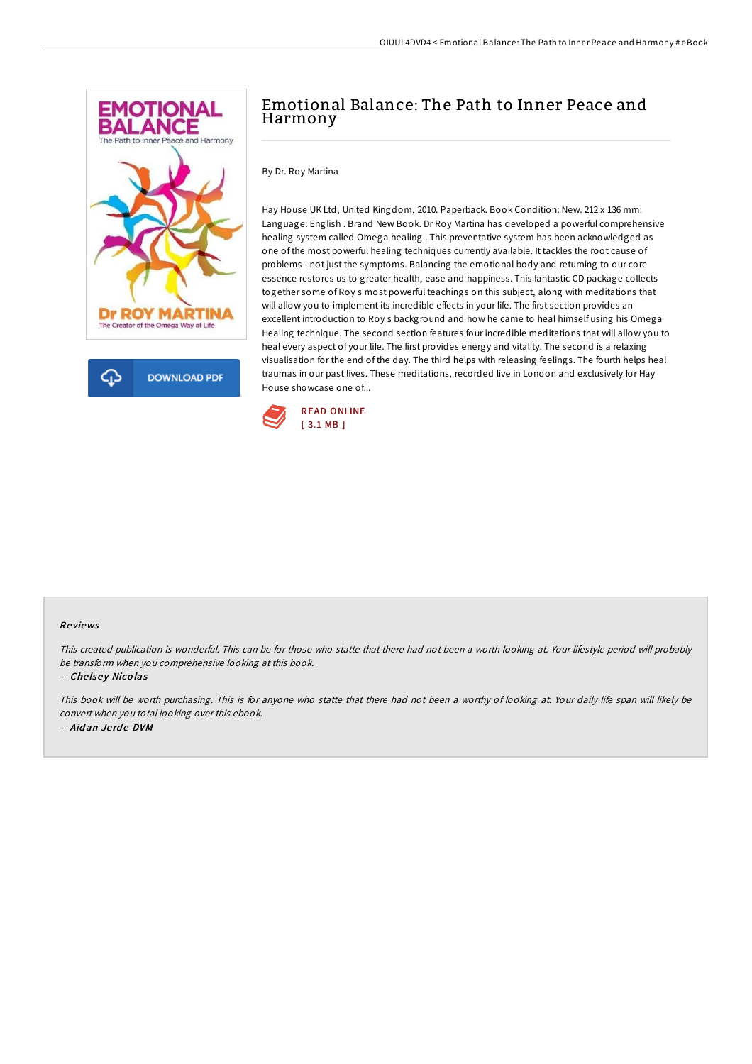

## Emotional Balance: The Path to Inner Peace and Harmony

By Dr. Roy Martina

Hay House UK Ltd, United Kingdom, 2010. Paperback. Book Condition: New. 212 x 136 mm. Language: English . Brand New Book. Dr Roy Martina has developed a powerful comprehensive healing system called Omega healing . This preventative system has been acknowledged as one of the most powerful healing techniques currently available. It tackles the root cause of problems - not just the symptoms. Balancing the emotional body and returning to our core essence restores us to greater health, ease and happiness. This fantastic CD package collects together some of Roy s most powerful teachings on this subject, along with meditations that will allow you to implement its incredible effects in your life. The first section provides an excellent introduction to Roy s background and how he came to heal himself using his Omega Healing technique. The second section features four incredible meditations that will allow you to heal every aspect of your life. The first provides energy and vitality. The second is a relaxing visualisation for the end of the day. The third helps with releasing feelings. The fourth helps heal traumas in our past lives. These meditations, recorded live in London and exclusively for Hay House showcase one of...



## Re views

This created publication is wonderful. This can be for those who statte that there had not been <sup>a</sup> worth looking at. Your lifestyle period will probably be transform when you comprehensive looking at this book.

-- Chelsey Nicolas

This book will be worth purchasing. This is for anyone who statte that there had not been <sup>a</sup> worthy of looking at. Your daily life span will likely be convert when you total looking over this ebook. -- Aid an Je rd e DVM